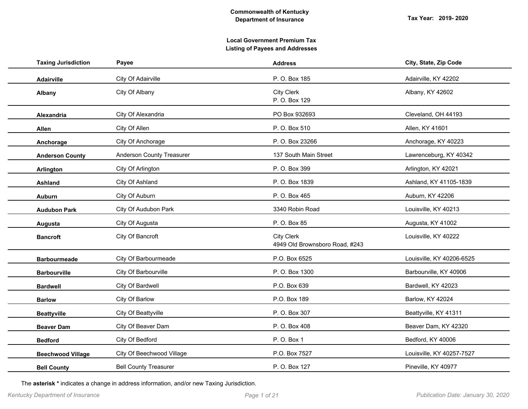| Payee                        | <b>Address</b>                                      | City, State, Zip Code     |
|------------------------------|-----------------------------------------------------|---------------------------|
| City Of Adairville           | P. O. Box 185                                       | Adairville, KY 42202      |
| City Of Albany               | City Clerk<br>P. O. Box 129                         | Albany, KY 42602          |
| City Of Alexandria           | PO Box 932693                                       | Cleveland, OH 44193       |
| City Of Allen                | P. O. Box 510                                       | Allen, KY 41601           |
| City Of Anchorage            | P. O. Box 23266                                     | Anchorage, KY 40223       |
| Anderson County Treasurer    | 137 South Main Street                               | Lawrenceburg, KY 40342    |
| City Of Arlington            | P. O. Box 399                                       | Arlington, KY 42021       |
| City Of Ashland              | P. O. Box 1839                                      | Ashland, KY 41105-1839    |
| City Of Auburn               | P. O. Box 465                                       | Auburn, KY 42206          |
| City Of Audubon Park         | 3340 Robin Road                                     | Louisville, KY 40213      |
| City Of Augusta              | P. O. Box 85                                        | Augusta, KY 41002         |
| City Of Bancroft             | <b>City Clerk</b><br>4949 Old Brownsboro Road, #243 | Louisville, KY 40222      |
| City Of Barbourmeade         | P.O. Box 6525                                       | Louisville, KY 40206-6525 |
| City Of Barbourville         | P. O. Box 1300                                      | Barbourville, KY 40906    |
| City Of Bardwell             | P.O. Box 639                                        | Bardwell, KY 42023        |
| City Of Barlow               | P.O. Box 189                                        | Barlow, KY 42024          |
| City Of Beattyville          | P. O. Box 307                                       | Beattyville, KY 41311     |
| City Of Beaver Dam           | P. O. Box 408                                       | Beaver Dam, KY 42320      |
| City Of Bedford              | P. O. Box 1                                         | Bedford, KY 40006         |
| City Of Beechwood Village    | P.O. Box 7527                                       | Louisville, KY 40257-7527 |
| <b>Bell County Treasurer</b> | P. O. Box 127                                       | Pineville, KY 40977       |
|                              |                                                     |                           |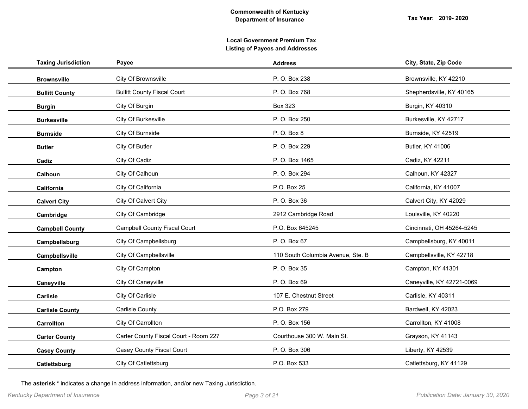|                                       | <b>Address</b>                    | City, State, Zip Code     |
|---------------------------------------|-----------------------------------|---------------------------|
| City Of Brownsville                   | P. O. Box 238                     | Brownsville, KY 42210     |
| <b>Bullitt County Fiscal Court</b>    | P. O. Box 768                     | Shepherdsville, KY 40165  |
| City Of Burgin                        | <b>Box 323</b>                    | Burgin, KY 40310          |
| City Of Burkesville                   | P. O. Box 250                     | Burkesville, KY 42717     |
| City Of Burnside                      | P. O. Box 8                       | Burnside, KY 42519        |
| City Of Butler                        | P. O. Box 229                     | Butler, KY 41006          |
| City Of Cadiz                         | P.O. Box 1465                     | Cadiz, KY 42211           |
| City Of Calhoun                       | P. O. Box 294                     | Calhoun, KY 42327         |
| City Of California                    | P.O. Box 25                       | California, KY 41007      |
| City Of Calvert City                  | P. O. Box 36                      | Calvert City, KY 42029    |
| City Of Cambridge                     | 2912 Cambridge Road               | Louisville, KY 40220      |
| <b>Campbell County Fiscal Court</b>   | P.O. Box 645245                   | Cincinnati, OH 45264-5245 |
| City Of Campbellsburg                 | P. O. Box 67                      | Campbellsburg, KY 40011   |
| City Of Campbellsville                | 110 South Columbia Avenue, Ste. B | Campbellsville, KY 42718  |
| City Of Campton                       | P. O. Box 35                      | Campton, KY 41301         |
| City Of Caneyville                    | P. O. Box 69                      | Caneyville, KY 42721-0069 |
| City Of Carlisle                      | 107 E. Chestnut Street            | Carlisle, KY 40311        |
| Carlisle County                       | P.O. Box 279                      | Bardwell, KY 42023        |
| City Of Carrollton                    | P. O. Box 156                     | Carrollton, KY 41008      |
| Carter County Fiscal Court - Room 227 | Courthouse 300 W. Main St.        | Grayson, KY 41143         |
| Casey County Fiscal Court             | P. O. Box 306                     | Liberty, KY 42539         |
| City Of Catlettsburg                  | P.O. Box 533                      | Catlettsburg, KY 41129    |
|                                       | Payee                             |                           |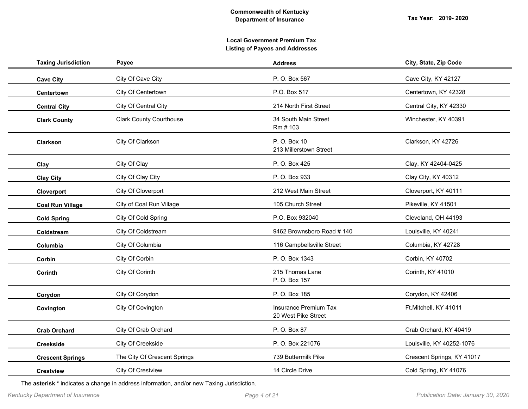| <b>Taxing Jurisdiction</b> | Payee                          | <b>Address</b>                               | City, State, Zip Code      |
|----------------------------|--------------------------------|----------------------------------------------|----------------------------|
| <b>Cave City</b>           | City Of Cave City              | P. O. Box 567                                | Cave City, KY 42127        |
| Centertown                 | City Of Centertown             | P.O. Box 517                                 | Centertown, KY 42328       |
| <b>Central City</b>        | City Of Central City           | 214 North First Street                       | Central City, KY 42330     |
| <b>Clark County</b>        | <b>Clark County Courthouse</b> | 34 South Main Street<br>Rm # 103             | Winchester, KY 40391       |
| Clarkson                   | City Of Clarkson               | P. O. Box 10<br>213 Millerstown Street       | Clarkson, KY 42726         |
| Clay                       | City Of Clay                   | P. O. Box 425                                | Clay, KY 42404-0425        |
| <b>Clay City</b>           | City Of Clay City              | P. O. Box 933                                | Clay City, KY 40312        |
| Cloverport                 | City Of Cloverport             | 212 West Main Street                         | Cloverport, KY 40111       |
| <b>Coal Run Village</b>    | City of Coal Run Village       | 105 Church Street                            | Pikeville, KY 41501        |
| <b>Cold Spring</b>         | City Of Cold Spring            | P.O. Box 932040                              | Cleveland, OH 44193        |
| Coldstream                 | City Of Coldstream             | 9462 Brownsboro Road #140                    | Louisville, KY 40241       |
| Columbia                   | City Of Columbia               | 116 Campbellsville Street                    | Columbia, KY 42728         |
| Corbin                     | City Of Corbin                 | P. O. Box 1343                               | Corbin, KY 40702           |
| Corinth                    | City Of Corinth                | 215 Thomas Lane<br>P. O. Box 157             | Corinth, KY 41010          |
| Corydon                    | City Of Corydon                | P. O. Box 185                                | Corydon, KY 42406          |
| Covington                  | City Of Covington              | Insurance Premium Tax<br>20 West Pike Street | Ft.Mitchell, KY 41011      |
| <b>Crab Orchard</b>        | City Of Crab Orchard           | P. O. Box 87                                 | Crab Orchard, KY 40419     |
| <b>Creekside</b>           | City Of Creekside              | P. O. Box 221076                             | Louisville, KY 40252-1076  |
| <b>Crescent Springs</b>    | The City Of Crescent Springs   | 739 Buttermilk Pike                          | Crescent Springs, KY 41017 |
| <b>Crestview</b>           | City Of Crestview              | 14 Circle Drive                              | Cold Spring, KY 41076      |
|                            |                                |                                              |                            |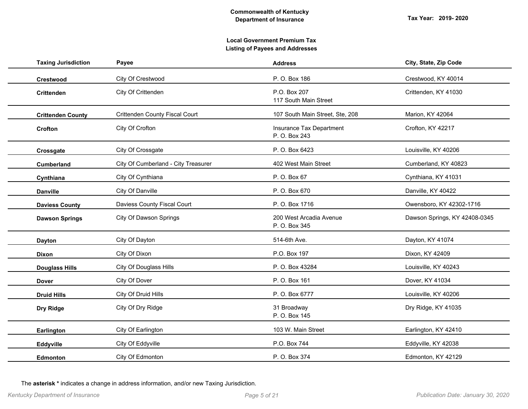| <b>Taxing Jurisdiction</b> | Payee                               | <b>Address</b>                            | City, State, Zip Code         |
|----------------------------|-------------------------------------|-------------------------------------------|-------------------------------|
| Crestwood                  | City Of Crestwood                   | P. O. Box 186                             | Crestwood, KY 40014           |
| <b>Crittenden</b>          | City Of Crittenden                  | P.O. Box 207<br>117 South Main Street     | Crittenden, KY 41030          |
| <b>Crittenden County</b>   | Crittenden County Fiscal Court      | 107 South Main Street, Ste, 208           | Marion, KY 42064              |
| Crofton                    | City Of Crofton                     | Insurance Tax Department<br>P. O. Box 243 | Crofton, KY 42217             |
| Crossgate                  | City Of Crossgate                   | P. O. Box 6423                            | Louisville, KY 40206          |
| <b>Cumberland</b>          | City Of Cumberland - City Treasurer | 402 West Main Street                      | Cumberland, KY 40823          |
| Cynthiana                  | City Of Cynthiana                   | P. O. Box 67                              | Cynthiana, KY 41031           |
| <b>Danville</b>            | City Of Danville                    | P. O. Box 670                             | Danville, KY 40422            |
| <b>Daviess County</b>      | Daviess County Fiscal Court         | P. O. Box 1716                            | Owensboro, KY 42302-1716      |
| <b>Dawson Springs</b>      | City Of Dawson Springs              | 200 West Arcadia Avenue<br>P. O. Box 345  | Dawson Springs, KY 42408-0345 |
| <b>Dayton</b>              | City Of Dayton                      | 514-6th Ave.                              | Dayton, KY 41074              |
| <b>Dixon</b>               | City Of Dixon                       | P.O. Box 197                              | Dixon, KY 42409               |
| <b>Douglass Hills</b>      | City Of Douglass Hills              | P. O. Box 43284                           | Louisville, KY 40243          |
| <b>Dover</b>               | City Of Dover                       | P. O. Box 161                             | Dover, KY 41034               |
| <b>Druid Hills</b>         | City Of Druid Hills                 | P. O. Box 6777                            | Louisville, KY 40206          |
| Dry Ridge                  | City Of Dry Ridge                   | 31 Broadway<br>P. O. Box 145              | Dry Ridge, KY 41035           |
| Earlington                 | City Of Earlington                  | 103 W. Main Street                        | Earlington, KY 42410          |
| Eddyville                  | City Of Eddyville                   | P.O. Box 744                              | Eddyville, KY 42038           |
| <b>Edmonton</b>            | City Of Edmonton                    | P. O. Box 374                             | Edmonton, KY 42129            |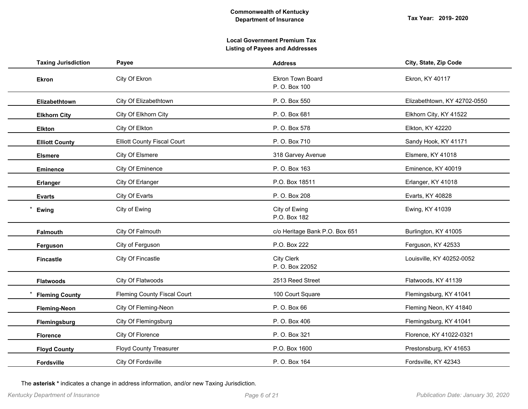| <b>Taxing Jurisdiction</b> | Payee                              | <b>Address</b>                       | City, State, Zip Code        |
|----------------------------|------------------------------------|--------------------------------------|------------------------------|
| <b>Ekron</b>               | City Of Ekron                      | Ekron Town Board<br>P. O. Box 100    | Ekron, KY 40117              |
| Elizabethtown              | City Of Elizabethtown              | P.O. Box 550                         | Elizabethtown, KY 42702-0550 |
| <b>Elkhorn City</b>        | City Of Elkhorn City               | P. O. Box 681                        | Elkhorn City, KY 41522       |
| <b>Elkton</b>              | City Of Elkton                     | P. O. Box 578                        | Elkton, KY 42220             |
| <b>Elliott County</b>      | <b>Elliott County Fiscal Court</b> | P. O. Box 710                        | Sandy Hook, KY 41171         |
| <b>Elsmere</b>             | City Of Elsmere                    | 318 Garvey Avenue                    | Elsmere, KY 41018            |
| <b>Eminence</b>            | City Of Eminence                   | P. O. Box 163                        | Eminence, KY 40019           |
| Erlanger                   | City Of Erlanger                   | P.O. Box 18511                       | Erlanger, KY 41018           |
| <b>Evarts</b>              | City Of Evarts                     | P. O. Box 208                        | Evarts, KY 40828             |
| Ewing                      | City of Ewing                      | City of Ewing<br>P.O. Box 182        | Ewing, KY 41039              |
| <b>Falmouth</b>            | City Of Falmouth                   | c/o Heritage Bank P.O. Box 651       | Burlington, KY 41005         |
| Ferguson                   | City of Ferguson                   | P.O. Box 222                         | Ferguson, KY 42533           |
| <b>Fincastle</b>           | City Of Fincastle                  | <b>City Clerk</b><br>P. O. Box 22052 | Louisville, KY 40252-0052    |
| <b>Flatwoods</b>           | City Of Flatwoods                  | 2513 Reed Street                     | Flatwoods, KY 41139          |
| <b>Fleming County</b>      | Fleming County Fiscal Court        | 100 Court Square                     | Flemingsburg, KY 41041       |
| <b>Fleming-Neon</b>        | City Of Fleming-Neon               | P. O. Box 66                         | Fleming Neon, KY 41840       |
| Flemingsburg               | City Of Flemingsburg               | P. O. Box 406                        | Flemingsburg, KY 41041       |
| <b>Florence</b>            | City Of Florence                   | P. O. Box 321                        | Florence, KY 41022-0321      |
| <b>Floyd County</b>        | <b>Floyd County Treasurer</b>      | P.O. Box 1600                        | Prestonsburg, KY 41653       |
| <b>Fordsville</b>          | City Of Fordsville                 | P. O. Box 164                        | Fordsville, KY 42343         |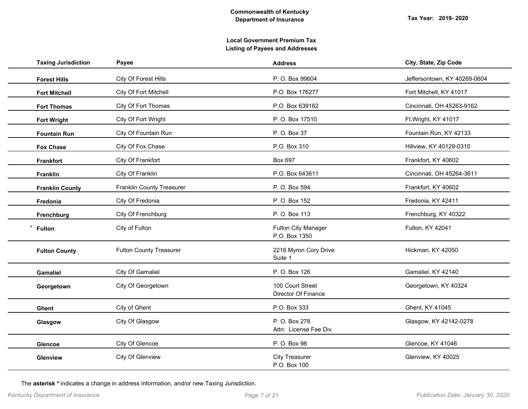| <b>Taxing Jurisdiction</b> | Payee                          | <b>Address</b>                          | City, State, Zip Code        |
|----------------------------|--------------------------------|-----------------------------------------|------------------------------|
| <b>Forest Hills</b>        | City Of Forest Hills           | P. O. Box 99604                         | Jeffersontown, KY 40269-0604 |
| <b>Fort Mitchell</b>       | City Of Fort Mitchell          | P.O. Box 176277                         | Fort Mitchell, KY 41017      |
| <b>Fort Thomas</b>         | City Of Fort Thomas            | P.O. Box 639162                         | Cincinnati, OH 45263-9162    |
| <b>Fort Wright</b>         | City Of Fort Wright            | P.O. Box 17510                          | Ft. Wright, KY 41017         |
| <b>Fountain Run</b>        | City Of Fountain Run           | P. O. Box 37                            | Fountain Run, KY 42133       |
| <b>Fox Chase</b>           | City Of Fox Chase              | P.O. Box 310                            | Hillview, KY 40129-0310      |
| <b>Frankfort</b>           | City Of Frankfort              | Box 697                                 | Frankfort, KY 40602          |
| Franklin                   | City Of Franklin               | P.O. Box 643611                         | Cincinnati, OH 45264-3611    |
| <b>Franklin County</b>     | Franklin County Treasurer      | P. O. Box 594                           | Frankfort, KY 40602          |
| Fredonia                   | City Of Fredonia               | P. O. Box 152                           | Fredonia, KY 42411           |
| Frenchburg                 | City Of Frenchburg             | P. O. Box 113                           | Frenchburg, KY 40322         |
| <b>Fulton</b>              | City of Fulton                 | Fulton City Manager<br>P.O. Box 1350    | Fulton, KY 42041             |
| <b>Fulton County</b>       | <b>Fulton County Treasurer</b> | 2216 Myron Cory Drive<br>Suite 1        | Hickman, KY 42050            |
| <b>Gamaliel</b>            | City Of Gamaliel               | P. O. Box 126                           | Gamaliel, KY 42140           |
| Georgetown                 | City Of Georgetown             | 100 Court Street<br>Director Of Finance | Georgetown, KY 40324         |
| Ghent                      | City of Ghent                  | P.O. Box 333                            | Ghent, KY 41045              |
| Glasgow                    | City Of Glasgow                | P. O. Box 278<br>Attn: License Fee Div. | Glasgow, KY 42142-0278       |
| Glencoe                    | City Of Glencoe                | P. O. Box 98                            | Glencoe, KY 41046            |
| Glenview                   | City Of Glenview               | <b>City Treasurer</b><br>P.O. Box 100   | Glenview, KY 40025           |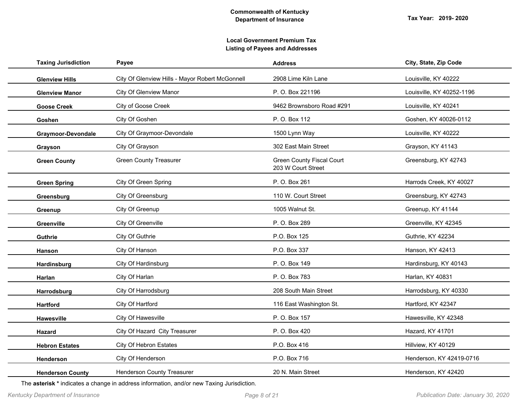| <b>Taxing Jurisdiction</b> | Payee                                           | <b>Address</b>                                         | City, State, Zip Code     |
|----------------------------|-------------------------------------------------|--------------------------------------------------------|---------------------------|
| <b>Glenview Hills</b>      | City Of Glenview Hills - Mayor Robert McGonnell | 2908 Lime Kiln Lane                                    | Louisville, KY 40222      |
| <b>Glenview Manor</b>      | City Of Glenview Manor                          | P. O. Box 221196                                       | Louisville, KY 40252-1196 |
| <b>Goose Creek</b>         | City of Goose Creek                             | 9462 Brownsboro Road #291                              | Louisville, KY 40241      |
| Goshen                     | City Of Goshen                                  | P. O. Box 112                                          | Goshen, KY 40026-0112     |
| Graymoor-Devondale         | City Of Graymoor-Devondale                      | 1500 Lynn Way                                          | Louisville, KY 40222      |
| Grayson                    | City Of Grayson                                 | 302 East Main Street                                   | Grayson, KY 41143         |
| <b>Green County</b>        | <b>Green County Treasurer</b>                   | <b>Green County Fiscal Court</b><br>203 W Court Street | Greensburg, KY 42743      |
| <b>Green Spring</b>        | City Of Green Spring                            | P. O. Box 261                                          | Harrods Creek, KY 40027   |
| Greensburg                 | City Of Greensburg                              | 110 W. Court Street                                    | Greensburg, KY 42743      |
| Greenup                    | City Of Greenup                                 | 1005 Walnut St.                                        | Greenup, KY 41144         |
| Greenville                 | City Of Greenville                              | P. O. Box 289                                          | Greenville, KY 42345      |
| Guthrie                    | City Of Guthrie                                 | P.O. Box 125                                           | Guthrie, KY 42234         |
| Hanson                     | City Of Hanson                                  | P.O. Box 337                                           | Hanson, KY 42413          |
| Hardinsburg                | City Of Hardinsburg                             | P. O. Box 149                                          | Hardinsburg, KY 40143     |
| Harlan                     | City Of Harlan                                  | P. O. Box 783                                          | Harlan, KY 40831          |
| Harrodsburg                | City Of Harrodsburg                             | 208 South Main Street                                  | Harrodsburg, KY 40330     |
| <b>Hartford</b>            | City Of Hartford                                | 116 East Washington St.                                | Hartford, KY 42347        |
| Hawesville                 | City Of Hawesville                              | P. O. Box 157                                          | Hawesville, KY 42348      |
| Hazard                     | City Of Hazard City Treasurer                   | P. O. Box 420                                          | Hazard, KY 41701          |
| <b>Hebron Estates</b>      | City Of Hebron Estates                          | P.O. Box 416                                           | Hillview, KY 40129        |
| Henderson                  | City Of Henderson                               | P.O. Box 716                                           | Henderson, KY 42419-0716  |
| <b>Henderson County</b>    | Henderson County Treasurer                      | 20 N. Main Street                                      | Henderson, KY 42420       |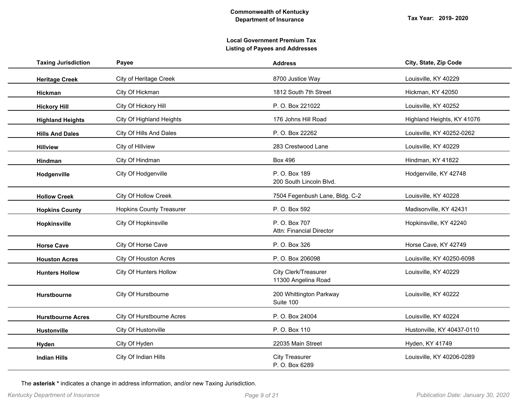| <b>Taxing Jurisdiction</b> | Payee                           | <b>Address</b>                              | City, State, Zip Code      |
|----------------------------|---------------------------------|---------------------------------------------|----------------------------|
| <b>Heritage Creek</b>      | <b>City of Heritage Creek</b>   | 8700 Justice Way                            | Louisville, KY 40229       |
| Hickman                    | City Of Hickman                 | 1812 South 7th Street                       | Hickman, KY 42050          |
| <b>Hickory Hill</b>        | City Of Hickory Hill            | P. O. Box 221022                            | Louisville, KY 40252       |
| <b>Highland Heights</b>    | City Of Highland Heights        | 176 Johns Hill Road                         | Highland Heights, KY 41076 |
| <b>Hills And Dales</b>     | City Of Hills And Dales         | P. O. Box 22262                             | Louisville, KY 40252-0262  |
| <b>Hillview</b>            | City of Hillview                | 283 Crestwood Lane                          | Louisville, KY 40229       |
| <b>Hindman</b>             | City Of Hindman                 | <b>Box 496</b>                              | Hindman, KY 41822          |
| Hodgenville                | City Of Hodgenville             | P. O. Box 189<br>200 South Lincoln Blvd.    | Hodgenville, KY 42748      |
| <b>Hollow Creek</b>        | City Of Hollow Creek            | 7504 Fegenbush Lane, Bldg. C-2              | Louisville, KY 40228       |
| <b>Hopkins County</b>      | <b>Hopkins County Treasurer</b> | P. O. Box 592                               | Madisonville, KY 42431     |
| Hopkinsville               | City Of Hopkinsville            | P. O. Box 707<br>Attn: Financial Director   | Hopkinsville, KY 42240     |
| <b>Horse Cave</b>          | City Of Horse Cave              | P. O. Box 326                               | Horse Cave, KY 42749       |
| <b>Houston Acres</b>       | City Of Houston Acres           | P. O. Box 206098                            | Louisville, KY 40250-6098  |
| <b>Hunters Hollow</b>      | City Of Hunters Hollow          | City Clerk/Treasurer<br>11300 Angelina Road | Louisville, KY 40229       |
| Hurstbourne                | City Of Hurstbourne             | 200 Whittington Parkway<br>Suite 100        | Louisville, KY 40222       |
| <b>Hurstbourne Acres</b>   | City Of Hurstbourne Acres       | P. O. Box 24004                             | Louisville, KY 40224       |
| <b>Hustonville</b>         | City Of Hustonville             | P. O. Box 110                               | Hustonville, KY 40437-0110 |
| Hyden                      | City Of Hyden                   | 22035 Main Street                           | Hyden, KY 41749            |
| <b>Indian Hills</b>        | City Of Indian Hills            | <b>City Treasurer</b><br>P. O. Box 6289     | Louisville, KY 40206-0289  |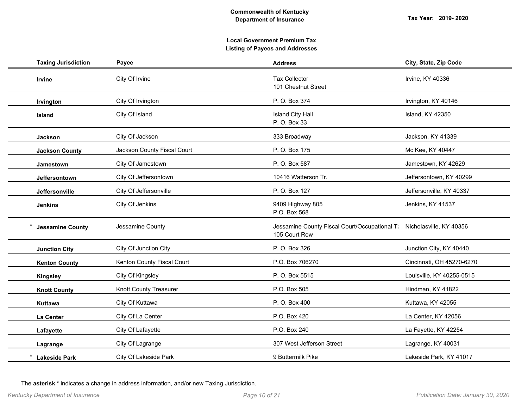| <b>Taxing Jurisdiction</b> | Payee                       | <b>Address</b>                                                                         | City, State, Zip Code     |
|----------------------------|-----------------------------|----------------------------------------------------------------------------------------|---------------------------|
| Irvine                     | City Of Irvine              | <b>Tax Collector</b><br>101 Chestnut Street                                            | Irvine, KY 40336          |
| Irvington                  | City Of Irvington           | P. O. Box 374                                                                          | Irvington, KY 40146       |
| <b>Island</b>              | City Of Island              | <b>Island City Hall</b><br>P. O. Box 33                                                | Island, KY 42350          |
| <b>Jackson</b>             | City Of Jackson             | 333 Broadway                                                                           | Jackson, KY 41339         |
| <b>Jackson County</b>      | Jackson County Fiscal Court | P. O. Box 175                                                                          | Mc Kee, KY 40447          |
| Jamestown                  | City Of Jamestown           | P. O. Box 587                                                                          | Jamestown, KY 42629       |
| Jeffersontown              | City Of Jeffersontown       | 10416 Watterson Tr.                                                                    | Jeffersontown, KY 40299   |
| Jeffersonville             | City Of Jeffersonville      | P. O. Box 127                                                                          | Jeffersonville, KY 40337  |
| <b>Jenkins</b>             | City Of Jenkins             | 9409 Highway 805<br>P.O. Box 568                                                       | Jenkins, KY 41537         |
| <b>Jessamine County</b>    | Jessamine County            | Jessamine County Fiscal Court/Occupational Ti Nicholasville, KY 40356<br>105 Court Row |                           |
| <b>Junction City</b>       | City Of Junction City       | P. O. Box 326                                                                          | Junction City, KY 40440   |
| <b>Kenton County</b>       | Kenton County Fiscal Court  | P.O. Box 706270                                                                        | Cincinnati, OH 45270-6270 |
| <b>Kingsley</b>            | City Of Kingsley            | P. O. Box 5515                                                                         | Louisville, KY 40255-0515 |
| <b>Knott County</b>        | Knott County Treasurer      | P.O. Box 505                                                                           | Hindman, KY 41822         |
| Kuttawa                    | City Of Kuttawa             | P. O. Box 400                                                                          | Kuttawa, KY 42055         |
| La Center                  | City Of La Center           | P.O. Box 420                                                                           | La Center, KY 42056       |
| Lafayette                  | City Of Lafayette           | P.O. Box 240                                                                           | La Fayette, KY 42254      |
| Lagrange                   | City Of Lagrange            | 307 West Jefferson Street                                                              | Lagrange, KY 40031        |
| <b>Lakeside Park</b>       | City Of Lakeside Park       | 9 Buttermilk Pike                                                                      | Lakeside Park, KY 41017   |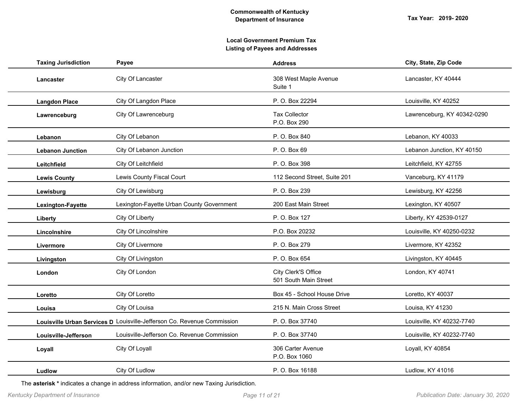| <b>Taxing Jurisdiction</b> | Payee                                                                   | <b>Address</b>                               | City, State, Zip Code       |
|----------------------------|-------------------------------------------------------------------------|----------------------------------------------|-----------------------------|
| Lancaster                  | City Of Lancaster                                                       | 308 West Maple Avenue<br>Suite 1             | Lancaster, KY 40444         |
| <b>Langdon Place</b>       | City Of Langdon Place                                                   | P. O. Box 22294                              | Louisville, KY 40252        |
| Lawrenceburg               | City Of Lawrenceburg                                                    | <b>Tax Collector</b><br>P.O. Box 290         | Lawrenceburg, KY 40342-0290 |
| Lebanon                    | City Of Lebanon                                                         | P. O. Box 840                                | Lebanon, KY 40033           |
| <b>Lebanon Junction</b>    | City Of Lebanon Junction                                                | P. O. Box 69                                 | Lebanon Junction, KY 40150  |
| Leitchfield                | City Of Leitchfield                                                     | P. O. Box 398                                | Leitchfield, KY 42755       |
| <b>Lewis County</b>        | Lewis County Fiscal Court                                               | 112 Second Street, Suite 201                 | Vanceburg, KY 41179         |
| Lewisburg                  | City Of Lewisburg                                                       | P. O. Box 239                                | Lewisburg, KY 42256         |
| Lexington-Fayette          | Lexington-Fayette Urban County Government                               | 200 East Main Street                         | Lexington, KY 40507         |
| Liberty                    | City Of Liberty                                                         | P. O. Box 127                                | Liberty, KY 42539-0127      |
| Lincolnshire               | City Of Lincolnshire                                                    | P.O. Box 20232                               | Louisville, KY 40250-0232   |
| Livermore                  | City Of Livermore                                                       | P.O. Box 279                                 | Livermore, KY 42352         |
| Livingston                 | City Of Livingston                                                      | P. O. Box 654                                | Livingston, KY 40445        |
| London                     | City Of London                                                          | City Clerk'S Office<br>501 South Main Street | London, KY 40741            |
| Loretto                    | City Of Loretto                                                         | Box 45 - School House Drive                  | Loretto, KY 40037           |
| Louisa                     | City Of Louisa                                                          | 215 N. Main Cross Street                     | Louisa, KY 41230            |
|                            | Louisville Urban Services D Louisville-Jefferson Co. Revenue Commission | P. O. Box 37740                              | Louisville, KY 40232-7740   |
| Louisville-Jefferson       | Louisville-Jefferson Co. Revenue Commission                             | P.O. Box 37740                               | Louisville, KY 40232-7740   |
| Loyall                     | City Of Loyall                                                          | 306 Carter Avenue<br>P.O. Box 1060           | Loyall, KY 40854            |
| Ludlow                     | City Of Ludlow                                                          | P. O. Box 16188                              | Ludlow, KY 41016            |
|                            |                                                                         |                                              |                             |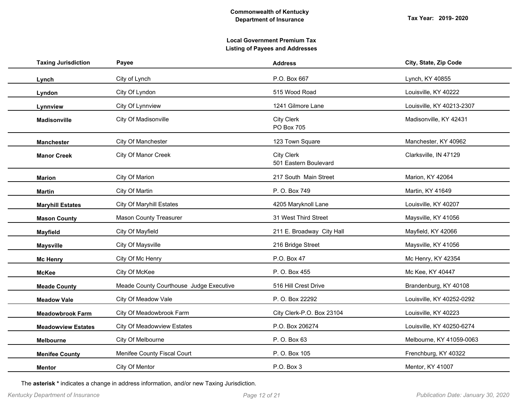| <b>Taxing Jurisdiction</b> | Payee                                   | <b>Address</b>                      | City, State, Zip Code     |
|----------------------------|-----------------------------------------|-------------------------------------|---------------------------|
| Lynch                      | City of Lynch                           | P.O. Box 667                        | Lynch, KY 40855           |
| Lyndon                     | City Of Lyndon                          | 515 Wood Road                       | Louisville, KY 40222      |
| Lynnview                   | City Of Lynnview                        | 1241 Gilmore Lane                   | Louisville, KY 40213-2307 |
| <b>Madisonville</b>        | City Of Madisonville                    | City Clerk<br><b>PO Box 705</b>     | Madisonville, KY 42431    |
| <b>Manchester</b>          | City Of Manchester                      | 123 Town Square                     | Manchester, KY 40962      |
| <b>Manor Creek</b>         | City Of Manor Creek                     | City Clerk<br>501 Eastern Boulevard | Clarksville, IN 47129     |
| <b>Marion</b>              | City Of Marion                          | 217 South Main Street               | Marion, KY 42064          |
| <b>Martin</b>              | City Of Martin                          | P. O. Box 749                       | Martin, KY 41649          |
| <b>Maryhill Estates</b>    | <b>City Of Maryhill Estates</b>         | 4205 Maryknoll Lane                 | Louisville, KY 40207      |
| <b>Mason County</b>        | <b>Mason County Treasurer</b>           | 31 West Third Street                | Maysville, KY 41056       |
| <b>Mayfield</b>            | City Of Mayfield                        | 211 E. Broadway City Hall           | Mayfield, KY 42066        |
| <b>Maysville</b>           | City Of Maysville                       | 216 Bridge Street                   | Maysville, KY 41056       |
| <b>Mc Henry</b>            | City Of Mc Henry                        | P.O. Box 47                         | Mc Henry, KY 42354        |
| <b>McKee</b>               | City Of McKee                           | P. O. Box 455                       | Mc Kee, KY 40447          |
| <b>Meade County</b>        | Meade County Courthouse Judge Executive | 516 Hill Crest Drive                | Brandenburg, KY 40108     |
| <b>Meadow Vale</b>         | City Of Meadow Vale                     | P. O. Box 22292                     | Louisville, KY 40252-0292 |
| <b>Meadowbrook Farm</b>    | City Of Meadowbrook Farm                | City Clerk-P.O. Box 23104           | Louisville, KY 40223      |
| <b>Meadowview Estates</b>  | <b>City Of Meadowview Estates</b>       | P.O. Box 206274                     | Louisville, KY 40250-6274 |
| Melbourne                  | City Of Melbourne                       | P. O. Box 63                        | Melbourne, KY 41059-0063  |
| <b>Menifee County</b>      | Menifee County Fiscal Court             | P. O. Box 105                       | Frenchburg, KY 40322      |
| <b>Mentor</b>              | City Of Mentor                          | P.O. Box 3                          | Mentor, KY 41007          |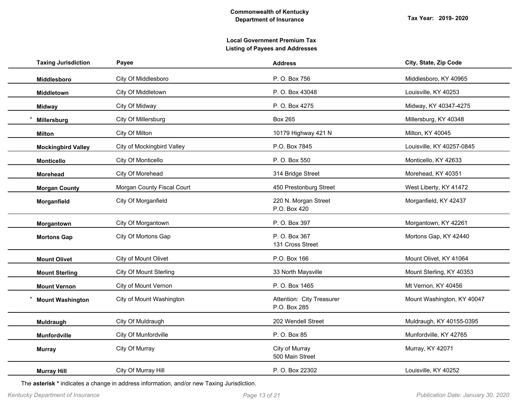| <b>Taxing Jurisdiction</b> | Payee                         | <b>Address</b>                            | City, State, Zip Code      |
|----------------------------|-------------------------------|-------------------------------------------|----------------------------|
| Middlesboro                | City Of Middlesboro           | P. O. Box 756                             | Middlesboro, KY 40965      |
| Middletown                 | City Of Middletown            | P. O. Box 43048                           | Louisville, KY 40253       |
| <b>Midway</b>              | City Of Midway                | P. O. Box 4275                            | Midway, KY 40347-4275      |
| Millersburg                | City Of Millersburg           | <b>Box 265</b>                            | Millersburg, KY 40348      |
| Milton                     | City Of Milton                | 10179 Highway 421 N                       | Milton, KY 40045           |
| <b>Mockingbird Valley</b>  | City of Mockingbird Valley    | P.O. Box 7845                             | Louisville, KY 40257-0845  |
| <b>Monticello</b>          | City Of Monticello            | P. O. Box 550                             | Monticello, KY 42633       |
| Morehead                   | City Of Morehead              | 314 Bridge Street                         | Morehead, KY 40351         |
| <b>Morgan County</b>       | Morgan County Fiscal Court    | 450 Prestonburg Street                    | West Liberty, KY 41472     |
| Morganfield                | City Of Morganfield           | 220 N. Morgan Street<br>P.O. Box 420      | Morganfield, KY 42437      |
| Morgantown                 | City Of Morgantown            | P. O. Box 397                             | Morgantown, KY 42261       |
| <b>Mortons Gap</b>         | City Of Mortons Gap           | P. O. Box 367<br>131 Cross Street         | Mortons Gap, KY 42440      |
| <b>Mount Olivet</b>        | City of Mount Olivet          | P.O. Box 166                              | Mount Olivet, KY 41064     |
| <b>Mount Sterling</b>      | <b>City Of Mount Sterling</b> | 33 North Maysville                        | Mount Sterling, KY 40353   |
| <b>Mount Vernon</b>        | City of Mount Vernon          | P. O. Box 1465                            | Mt Vernon, KY 40456        |
| <b>Mount Washington</b>    | City of Mount Washington      | Attention: City Treasurer<br>P.O. Box 285 | Mount Washington, KY 40047 |
| Muldraugh                  | City Of Muldraugh             | 202 Wendell Street                        | Muldraugh, KY 40155-0395   |
| <b>Munfordville</b>        | City Of Munfordville          | P. O. Box 85                              | Munfordville, KY 42765     |
| <b>Murray</b>              | City Of Murray                | City of Murray<br>500 Main Street         | Murray, KY 42071           |
| <b>Murray Hill</b>         | City Of Murray Hill           | P. O. Box 22302                           | Louisville, KY 40252       |
|                            |                               |                                           |                            |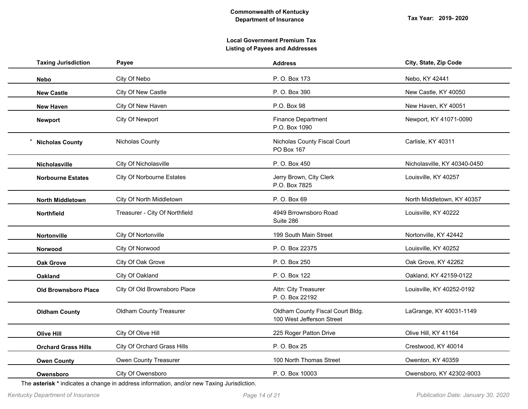| <b>Taxing Jurisdiction</b>  | Payee           |                                  | <b>Address</b>                                                | City, State, Zip Code        |  |
|-----------------------------|-----------------|----------------------------------|---------------------------------------------------------------|------------------------------|--|
| <b>Nebo</b>                 | City Of Nebo    |                                  | P. O. Box 173                                                 | Nebo, KY 42441               |  |
| <b>New Castle</b>           |                 | City Of New Castle               | P. O. Box 390                                                 | New Castle, KY 40050         |  |
| <b>New Haven</b>            |                 | City Of New Haven                | P.O. Box 98                                                   | New Haven, KY 40051          |  |
| Newport                     |                 | City Of Newport                  | <b>Finance Department</b><br>P.O. Box 1090                    | Newport, KY 41071-0090       |  |
| <b>Nicholas County</b>      |                 | Nicholas County                  | Nicholas County Fiscal Court<br>PO Box 167                    | Carlisle, KY 40311           |  |
| <b>Nicholasville</b>        |                 | City Of Nicholasville            | P. O. Box 450                                                 | Nicholasville, KY 40340-0450 |  |
| <b>Norbourne Estates</b>    |                 | <b>City Of Norbourne Estates</b> | Jerry Brown, City Clerk<br>P.O. Box 7825                      | Louisville, KY 40257         |  |
| <b>North Middletown</b>     |                 | City Of North Middletown         | P. O. Box 69                                                  | North Middletown, KY 40357   |  |
| <b>Northfield</b>           |                 | Treasurer - City Of Northfield   | 4949 Brrownsboro Road<br>Suite 286                            | Louisville, KY 40222         |  |
| Nortonville                 |                 | City Of Nortonville              | 199 South Main Street                                         | Nortonville, KY 42442        |  |
| Norwood                     |                 | City Of Norwood                  | P. O. Box 22375                                               | Louisville, KY 40252         |  |
| <b>Oak Grove</b>            |                 | City Of Oak Grove                | P. O. Box 250                                                 | Oak Grove, KY 42262          |  |
| <b>Oakland</b>              | City Of Oakland |                                  | P. O. Box 122                                                 | Oakland, KY 42159-0122       |  |
| <b>Old Brownsboro Place</b> |                 | City Of Old Brownsboro Place     | Attn: City Treasurer<br>P. O. Box 22192                       | Louisville, KY 40252-0192    |  |
| <b>Oldham County</b>        |                 | Oldham County Treasurer          | Oldham County Fiscal Court Bldg.<br>100 West Jefferson Street | LaGrange, KY 40031-1149      |  |
| <b>Olive Hill</b>           |                 | City Of Olive Hill               | 225 Roger Patton Drive                                        | Olive Hill, KY 41164         |  |
| <b>Orchard Grass Hills</b>  |                 | City Of Orchard Grass Hills      | P. O. Box 25                                                  | Crestwood, KY 40014          |  |
| <b>Owen County</b>          |                 | Owen County Treasurer            | 100 North Thomas Street                                       | Owenton, KY 40359            |  |
| Owensboro                   |                 | City Of Owensboro                | P. O. Box 10003                                               | Owensboro, KY 42302-9003     |  |
|                             |                 |                                  |                                                               |                              |  |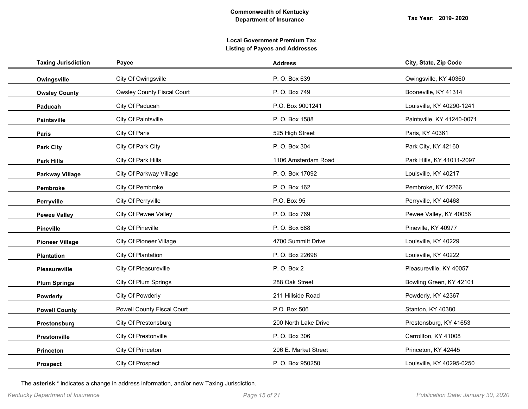| <b>Taxing Jurisdiction</b> | Payee                             | <b>Address</b>       | City, State, Zip Code      |
|----------------------------|-----------------------------------|----------------------|----------------------------|
| Owingsville                | City Of Owingsville               | P. O. Box 639        | Owingsville, KY 40360      |
| <b>Owsley County</b>       | <b>Owsley County Fiscal Court</b> | P. O. Box 749        | Booneville, KY 41314       |
| Paducah                    | City Of Paducah                   | P.O. Box 9001241     | Louisville, KY 40290-1241  |
| Paintsville                | City Of Paintsville               | P. O. Box 1588       | Paintsville, KY 41240-0071 |
| Paris                      | City Of Paris                     | 525 High Street      | Paris, KY 40361            |
| <b>Park City</b>           | City Of Park City                 | P. O. Box 304        | Park City, KY 42160        |
| <b>Park Hills</b>          | City Of Park Hills                | 1106 Amsterdam Road  | Park Hills, KY 41011-2097  |
| <b>Parkway Village</b>     | City Of Parkway Village           | P. O. Box 17092      | Louisville, KY 40217       |
| Pembroke                   | City Of Pembroke                  | P. O. Box 162        | Pembroke, KY 42266         |
| Perryville                 | City Of Perryville                | P.O. Box 95          | Perryville, KY 40468       |
| <b>Pewee Valley</b>        | City Of Pewee Valley              | P. O. Box 769        | Pewee Valley, KY 40056     |
| <b>Pineville</b>           | City Of Pineville                 | P. O. Box 688        | Pineville, KY 40977        |
| <b>Pioneer Village</b>     | <b>City Of Pioneer Village</b>    | 4700 Summitt Drive   | Louisville, KY 40229       |
| <b>Plantation</b>          | City Of Plantation                | P. O. Box 22698      | Louisville, KY 40222       |
| <b>Pleasureville</b>       | City Of Pleasureville             | P. O. Box 2          | Pleasureville, KY 40057    |
| <b>Plum Springs</b>        | City Of Plum Springs              | 288 Oak Street       | Bowling Green, KY 42101    |
| Powderly                   | City Of Powderly                  | 211 Hillside Road    | Powderly, KY 42367         |
| <b>Powell County</b>       | Powell County Fiscal Court        | P.O. Box 506         | Stanton, KY 40380          |
| Prestonsburg               | City Of Prestonsburg              | 200 North Lake Drive | Prestonsburg, KY 41653     |
| Prestonville               | City Of Prestonville              | P. O. Box 306        | Carrollton, KY 41008       |
| <b>Princeton</b>           | City Of Princeton                 | 206 E. Market Street | Princeton, KY 42445        |
| <b>Prospect</b>            | City Of Prospect                  | P. O. Box 950250     | Louisville, KY 40295-0250  |
|                            |                                   |                      |                            |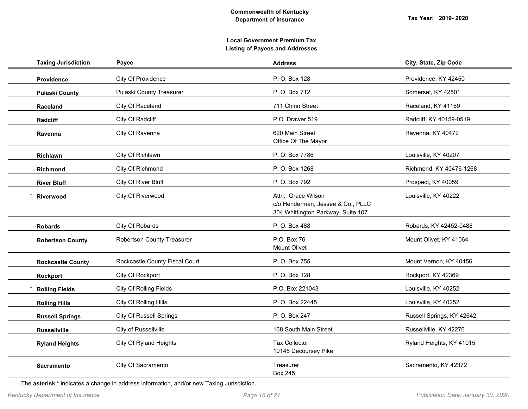| <b>Taxing Jurisdiction</b> | Payee                          | <b>Address</b>                                                                                | City, State, Zip Code     |
|----------------------------|--------------------------------|-----------------------------------------------------------------------------------------------|---------------------------|
| Providence                 | City Of Providence             | P. O. Box 128                                                                                 | Providence, KY 42450      |
| <b>Pulaski County</b>      | Pulaski County Treasurer       | P. O. Box 712                                                                                 | Somerset, KY 42501        |
| <b>Raceland</b>            | City Of Raceland               | 711 Chinn Street                                                                              | Raceland, KY 41169        |
| Radcliff                   | City Of Radcliff               | P.O. Drawer 519                                                                               | Radcliff, KY 40159-0519   |
| Ravenna                    | City Of Ravenna                | 620 Main Street<br>Office Of The Mayor                                                        | Ravenna, KY 40472         |
| Richlawn                   | City Of Richlawn               | P. O. Box 7786                                                                                | Louisville, KY 40207      |
| Richmond                   | City Of Richmond               | P. O. Box 1268                                                                                | Richmond, KY 40476-1268   |
| <b>River Bluff</b>         | City Of River Bluff            | P. O. Box 792                                                                                 | Prospect, KY 40059        |
| Riverwood                  | City Of Riverwood              | Attn: Grace Wilson<br>c/o Henderman, Jessee & Co., PLLC<br>304 Whittington Parkway, Suite 107 | Louisville, KY 40222      |
| <b>Robards</b>             | City Of Robards                | P. O. Box 488                                                                                 | Robards, KY 42452-0488    |
| <b>Robertson County</b>    | Robertson County Treasurer     | P.O. Box 76<br>Mount Olivet                                                                   | Mount Olivet, KY 41064    |
| <b>Rockcastle County</b>   | Rockcastle County Fiscal Court | P. O. Box 755                                                                                 | Mount Vernon, KY 40456    |
| Rockport                   | City Of Rockport               | P. O. Box 128                                                                                 | Rockport, KY 42369        |
| <b>Rolling Fields</b>      | City Of Rolling Fields         | P.O. Box 221043                                                                               | Louisville, KY 40252      |
| <b>Rolling Hills</b>       | City Of Rolling Hills          | P. O. Box 22445                                                                               | Louisville, KY 40252      |
| <b>Russell Springs</b>     | <b>City Of Russell Springs</b> | P. O. Box 247                                                                                 | Russell Springs, KY 42642 |
| <b>Russellville</b>        | City of Russellville           | 168 South Main Street                                                                         | Russellville, KY 42276    |
| <b>Ryland Heights</b>      | City Of Ryland Heights         | <b>Tax Collector</b><br>10145 Decoursey Pike                                                  | Ryland Heights, KY 41015  |
| Sacramento                 | City Of Sacramento             | Treasurer<br><b>Box 245</b>                                                                   | Sacramento, KY 42372      |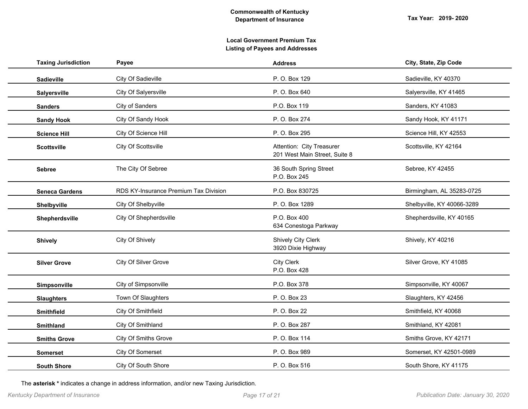| <b>Taxing Jurisdiction</b> | Payee                                 | <b>Address</b>                                             | City, State, Zip Code      |
|----------------------------|---------------------------------------|------------------------------------------------------------|----------------------------|
| Sadieville                 | City Of Sadieville                    | P. O. Box 129                                              | Sadieville, KY 40370       |
| Salyersville               | City Of Salyersville                  | P. O. Box 640                                              | Salyersville, KY 41465     |
| <b>Sanders</b>             | City of Sanders                       | P.O. Box 119                                               | Sanders, KY 41083          |
| <b>Sandy Hook</b>          | City Of Sandy Hook                    | P. O. Box 274                                              | Sandy Hook, KY 41171       |
| <b>Science Hill</b>        | City Of Science Hill                  | P. O. Box 295                                              | Science Hill, KY 42553     |
| <b>Scottsville</b>         | City Of Scottsville                   | Attention: City Treasurer<br>201 West Main Street, Suite 8 | Scottsville, KY 42164      |
| <b>Sebree</b>              | The City Of Sebree                    | 36 South Spring Street<br>P.O. Box 245                     | Sebree, KY 42455           |
| <b>Seneca Gardens</b>      | RDS KY-Insurance Premium Tax Division | P.O. Box 830725                                            | Birmingham, AL 35283-0725  |
| Shelbyville                | City Of Shelbyville                   | P. O. Box 1289                                             | Shelbyville, KY 40066-3289 |
| Shepherdsville             | City Of Shepherdsville                | P.O. Box 400<br>634 Conestoga Parkway                      | Shepherdsville, KY 40165   |
| <b>Shively</b>             | City Of Shively                       | <b>Shively City Clerk</b><br>3920 Dixie Highway            | Shively, KY 40216          |
| <b>Silver Grove</b>        | City Of Silver Grove                  | <b>City Clerk</b><br>P.O. Box 428                          | Silver Grove, KY 41085     |
| Simpsonville               | City of Simpsonville                  | P.O. Box 378                                               | Simpsonville, KY 40067     |
| <b>Slaughters</b>          | Town Of Slaughters                    | P. O. Box 23                                               | Slaughters, KY 42456       |
| Smithfield                 | City Of Smithfield                    | P. O. Box 22                                               | Smithfield, KY 40068       |
| <b>Smithland</b>           | City Of Smithland                     | P. O. Box 287                                              | Smithland, KY 42081        |
| <b>Smiths Grove</b>        | City Of Smiths Grove                  | P. O. Box 114                                              | Smiths Grove, KY 42171     |
| <b>Somerset</b>            | City Of Somerset                      | P. O. Box 989                                              | Somerset, KY 42501-0989    |
| <b>South Shore</b>         | City Of South Shore                   | P. O. Box 516                                              | South Shore, KY 41175      |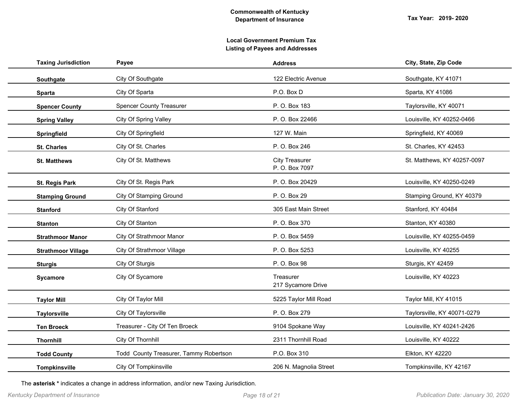| <b>Taxing Jurisdiction</b> | Payee                                  | <b>Address</b>                          | City, State, Zip Code       |
|----------------------------|----------------------------------------|-----------------------------------------|-----------------------------|
| Southgate                  | City Of Southgate                      | 122 Electric Avenue                     | Southgate, KY 41071         |
| <b>Sparta</b>              | City Of Sparta                         | P.O. Box D                              | Sparta, KY 41086            |
| <b>Spencer County</b>      | <b>Spencer County Treasurer</b>        | P. O. Box 183                           | Taylorsville, KY 40071      |
| <b>Spring Valley</b>       | City Of Spring Valley                  | P. O. Box 22466                         | Louisville, KY 40252-0466   |
| Springfield                | City Of Springfield                    | 127 W. Main                             | Springfield, KY 40069       |
| <b>St. Charles</b>         | City Of St. Charles                    | P. O. Box 246                           | St. Charles, KY 42453       |
| <b>St. Matthews</b>        | City Of St. Matthews                   | <b>City Treasurer</b><br>P. O. Box 7097 | St. Matthews, KY 40257-0097 |
| St. Regis Park             | City Of St. Regis Park                 | P. O. Box 20429                         | Louisville, KY 40250-0249   |
| <b>Stamping Ground</b>     | City Of Stamping Ground                | P. O. Box 29                            | Stamping Ground, KY 40379   |
| <b>Stanford</b>            | City Of Stanford                       | 305 East Main Street                    | Stanford, KY 40484          |
| <b>Stanton</b>             | City Of Stanton                        | P. O. Box 370                           | Stanton, KY 40380           |
| <b>Strathmoor Manor</b>    | City Of Strathmoor Manor               | P.O. Box 5459                           | Louisville, KY 40255-0459   |
| <b>Strathmoor Village</b>  | City Of Strathmoor Village             | P. O. Box 5253                          | Louisville, KY 40255        |
| <b>Sturgis</b>             | City Of Sturgis                        | P. O. Box 98                            | Sturgis, KY 42459           |
| Sycamore                   | City Of Sycamore                       | Treasurer<br>217 Sycamore Drive         | Louisville, KY 40223        |
| <b>Taylor Mill</b>         | City Of Taylor Mill                    | 5225 Taylor Mill Road                   | Taylor Mill, KY 41015       |
| <b>Taylorsville</b>        | City Of Taylorsville                   | P. O. Box 279                           | Taylorsville, KY 40071-0279 |
| <b>Ten Broeck</b>          | Treasurer - City Of Ten Broeck         | 9104 Spokane Way                        | Louisville, KY 40241-2426   |
| <b>Thornhill</b>           | City Of Thornhill                      | 2311 Thornhill Road                     | Louisville, KY 40222        |
| <b>Todd County</b>         | Todd County Treasurer, Tammy Robertson | P.O. Box 310                            | Elkton, KY 42220            |
| Tompkinsville              | City Of Tompkinsville                  | 206 N. Magnolia Street                  | Tompkinsville, KY 42167     |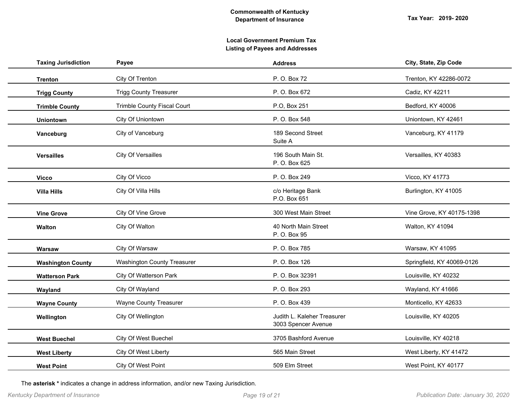| <b>Taxing Jurisdiction</b> | Payee                              | <b>Address</b>                                     | City, State, Zip Code      |
|----------------------------|------------------------------------|----------------------------------------------------|----------------------------|
| <b>Trenton</b>             | City Of Trenton                    | P. O. Box 72                                       | Trenton, KY 42286-0072     |
| <b>Trigg County</b>        | <b>Trigg County Treasurer</b>      | P. O. Box 672                                      | Cadiz, KY 42211            |
| <b>Trimble County</b>      | <b>Trimble County Fiscal Court</b> | P.O, Box 251                                       | Bedford, KY 40006          |
| <b>Uniontown</b>           | City Of Uniontown                  | P. O. Box 548                                      | Uniontown, KY 42461        |
| Vanceburg                  | City of Vanceburg                  | 189 Second Street<br>Suite A                       | Vanceburg, KY 41179        |
| <b>Versailles</b>          | City Of Versailles                 | 196 South Main St.<br>P. O. Box 625                | Versailles, KY 40383       |
| <b>Vicco</b>               | City Of Vicco                      | P.O. Box 249                                       | Vicco, KY 41773            |
| <b>Villa Hills</b>         | City Of Villa Hills                | c/o Heritage Bank<br>P.O. Box 651                  | Burlington, KY 41005       |
| <b>Vine Grove</b>          | City Of Vine Grove                 | 300 West Main Street                               | Vine Grove, KY 40175-1398  |
| Walton                     | City Of Walton                     | 40 North Main Street<br>P. O. Box 95               | Walton, KY 41094           |
| Warsaw                     | City Of Warsaw                     | P. O. Box 785                                      | Warsaw, KY 41095           |
| <b>Washington County</b>   | <b>Washington County Treasurer</b> | P. O. Box 126                                      | Springfield, KY 40069-0126 |
| <b>Watterson Park</b>      | City Of Watterson Park             | P. O. Box 32391                                    | Louisville, KY 40232       |
| Wayland                    | City Of Wayland                    | P. O. Box 293                                      | Wayland, KY 41666          |
| <b>Wayne County</b>        | <b>Wayne County Treasurer</b>      | P. O. Box 439                                      | Monticello, KY 42633       |
| Wellington                 | City Of Wellington                 | Judith L. Kaleher Treasurer<br>3003 Spencer Avenue | Louisville, KY 40205       |
| <b>West Buechel</b>        | City Of West Buechel               | 3705 Bashford Avenue                               | Louisville, KY 40218       |
| <b>West Liberty</b>        | City Of West Liberty               | 565 Main Street                                    | West Liberty, KY 41472     |
| <b>West Point</b>          | City Of West Point                 | 509 Elm Street                                     | West Point, KY 40177       |
|                            |                                    |                                                    |                            |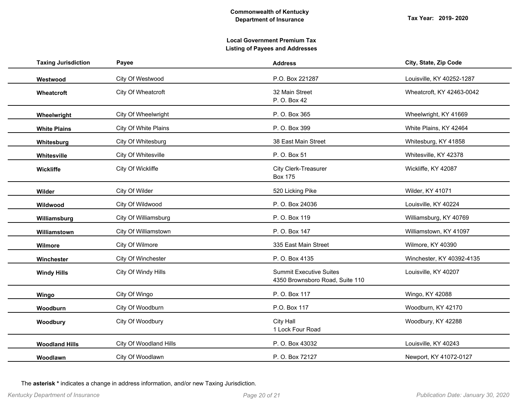| <b>Taxing Jurisdiction</b> | Payee                  | <b>Address</b>                                                    | City, State, Zip Code     |
|----------------------------|------------------------|-------------------------------------------------------------------|---------------------------|
| Westwood                   | City Of Westwood       | P.O. Box 221287                                                   | Louisville, KY 40252-1287 |
| Wheatcroft                 | City Of Wheatcroft     | 32 Main Street<br>P. O. Box 42                                    | Wheatcroft, KY 42463-0042 |
| Wheelwright                | City Of Wheelwright    | P. O. Box 365                                                     | Wheelwright, KY 41669     |
| <b>White Plains</b>        | City Of White Plains   | P. O. Box 399                                                     | White Plains, KY 42464    |
| Whitesburg                 | City Of Whitesburg     | 38 East Main Street                                               | Whitesburg, KY 41858      |
| Whitesville                | City Of Whitesville    | P. O. Box 51                                                      | Whitesville, KY 42378     |
| Wickliffe                  | City Of Wickliffe      | City Clerk-Treasurer<br><b>Box 175</b>                            | Wickliffe, KY 42087       |
| Wilder                     | City Of Wilder         | 520 Licking Pike                                                  | Wilder, KY 41071          |
| Wildwood                   | City Of Wildwood       | P. O. Box 24036                                                   | Louisville, KY 40224      |
| Williamsburg               | City Of Williamsburg   | P. O. Box 119                                                     | Williamsburg, KY 40769    |
| Williamstown               | City Of Williamstown   | P. O. Box 147                                                     | Williamstown, KY 41097    |
| Wilmore                    | City Of Wilmore        | 335 East Main Street                                              | Wilmore, KY 40390         |
| Winchester                 | City Of Winchester     | P. O. Box 4135                                                    | Winchester, KY 40392-4135 |
| <b>Windy Hills</b>         | City Of Windy Hills    | <b>Summit Executive Suites</b><br>4350 Brownsboro Road, Suite 110 | Louisville, KY 40207      |
| Wingo                      | City Of Wingo          | P. O. Box 117                                                     | Wingo, KY 42088           |
| Woodburn                   | City Of Woodburn       | P.O. Box 117                                                      | Woodburn, KY 42170        |
| Woodbury                   | City Of Woodbury       | City Hall<br>1 Lock Four Road                                     | Woodbury, KY 42288        |
| <b>Woodland Hills</b>      | City Of Woodland Hills | P. O. Box 43032                                                   | Louisville, KY 40243      |
| Woodlawn                   | City Of Woodlawn       | P.O. Box 72127                                                    | Newport, KY 41072-0127    |